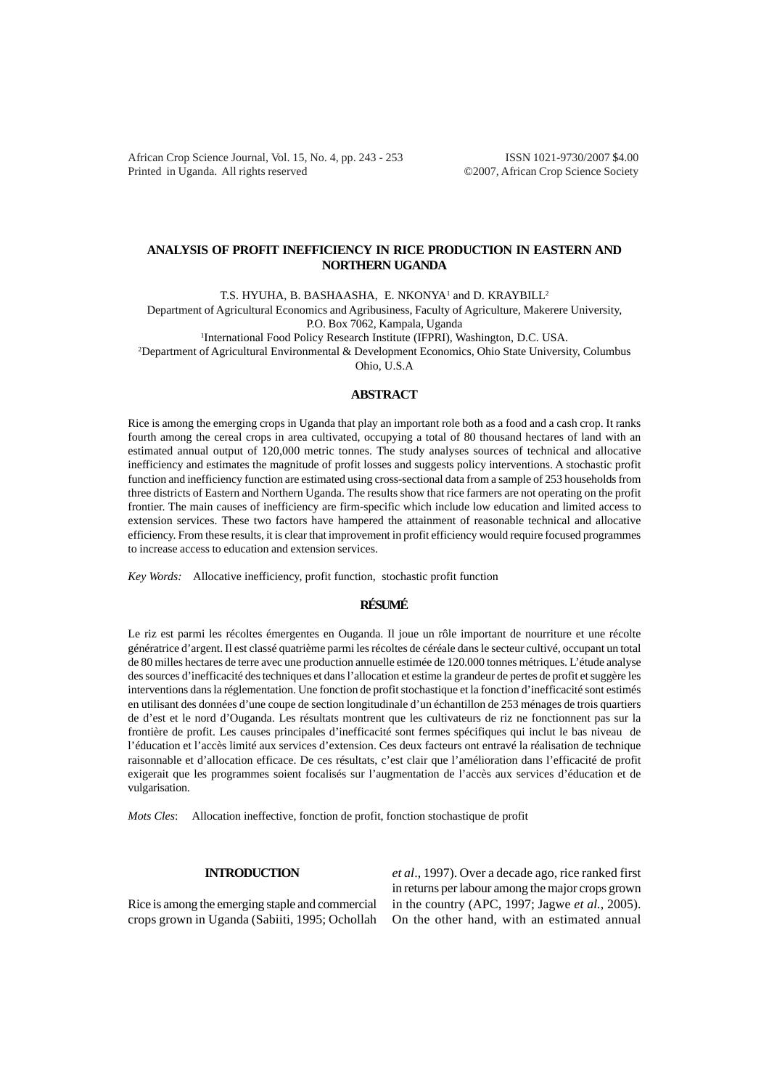African Crop Science Journal, Vol. 15, No. 4, pp. 243 - 253 ISSN 1021-9730/2007 \$4.00 Printed in Uganda. All rights reserved ©2007, African Crop Science Society

# **ANALYSIS OF PROFIT INEFFICIENCY IN RICE PRODUCTION IN EASTERN AND NORTHERN UGANDA**

T.S. HYUHA, B. BASHAASHA, E. NKONYA<sup>1</sup> and D. KRAYBILL<sup>2</sup>

Department of Agricultural Economics and Agribusiness, Faculty of Agriculture, Makerere University, P.O. Box 7062, Kampala, Uganda

<sup>1</sup>International Food Policy Research Institute (IFPRI), Washington, D.C. USA.

2 Department of Agricultural Environmental & Development Economics, Ohio State University, Columbus Ohio, U.S.A

**ABSTRACT**

Rice is among the emerging crops in Uganda that play an important role both as a food and a cash crop. It ranks fourth among the cereal crops in area cultivated, occupying a total of 80 thousand hectares of land with an estimated annual output of 120,000 metric tonnes. The study analyses sources of technical and allocative inefficiency and estimates the magnitude of profit losses and suggests policy interventions. A stochastic profit function and inefficiency function are estimated using cross-sectional data from a sample of 253 households from three districts of Eastern and Northern Uganda. The results show that rice farmers are not operating on the profit frontier. The main causes of inefficiency are firm-specific which include low education and limited access to extension services. These two factors have hampered the attainment of reasonable technical and allocative efficiency. From these results, it is clear that improvement in profit efficiency would require focused programmes to increase access to education and extension services.

*Key Words:* Allocative inefficiency, profit function, stochastic profit function

### **RÉSUMÉ**

Le riz est parmi les récoltes émergentes en Ouganda. Il joue un rôle important de nourriture et une récolte génératrice d'argent. Il est classé quatrième parmi les récoltes de céréale dans le secteur cultivé, occupant un total de 80 milles hectares de terre avec une production annuelle estimée de 120.000 tonnes métriques. L'étude analyse des sources d'inefficacité des techniques et dans l'allocation et estime la grandeur de pertes de profit et suggère les interventions dans la réglementation. Une fonction de profit stochastique et la fonction d'inefficacité sont estimés en utilisant des données d'une coupe de section longitudinale d'un échantillon de 253 ménages de trois quartiers de d'est et le nord d'Ouganda. Les résultats montrent que les cultivateurs de riz ne fonctionnent pas sur la frontière de profit. Les causes principales d'inefficacité sont fermes spécifiques qui inclut le bas niveau de l'éducation et l'accès limité aux services d'extension. Ces deux facteurs ont entravé la réalisation de technique raisonnable et d'allocation efficace. De ces résultats, c'est clair que l'amélioration dans l'efficacité de profit exigerait que les programmes soient focalisés sur l'augmentation de l'accès aux services d'éducation et de vulgarisation.

*Mots Cles*: Allocation ineffective, fonction de profit, fonction stochastique de profit

### **INTRODUCTION**

Rice is among the emerging staple and commercial crops grown in Uganda (Sabiiti, 1995; Ochollah

*et al*., 1997). Over a decade ago, rice ranked first in returns per labour among the major crops grown in the country (APC, 1997; Jagwe *et al.*, 2005). On the other hand, with an estimated annual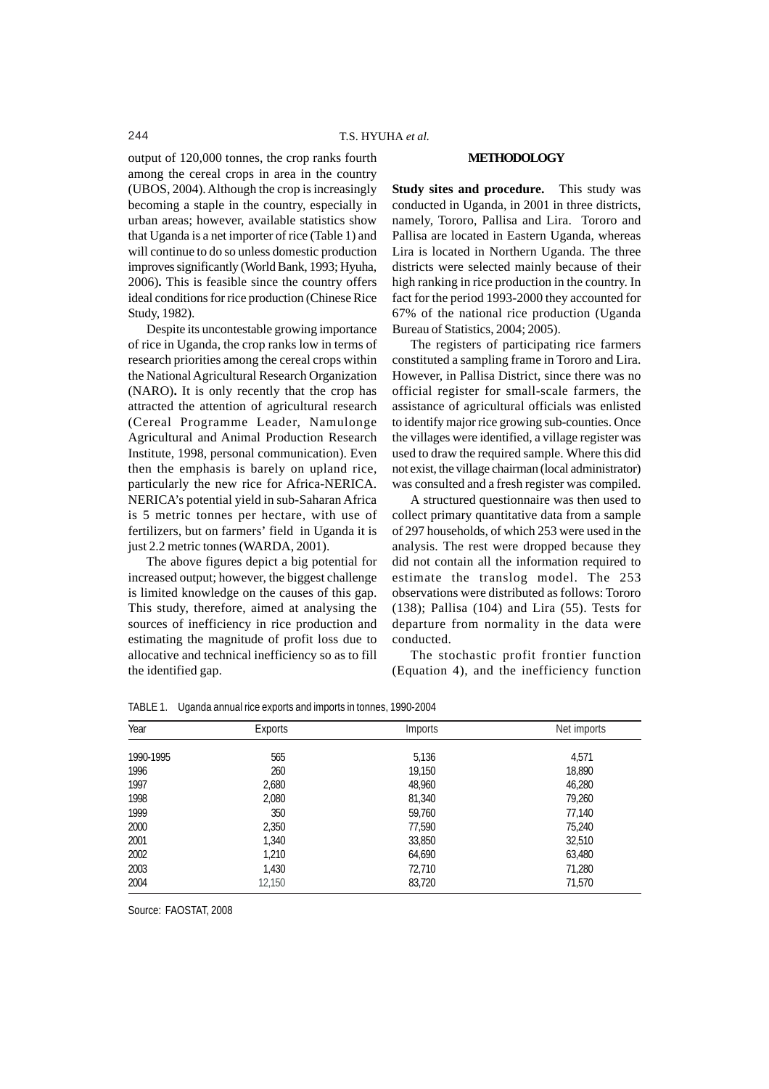# output of 120,000 tonnes, the crop ranks fourth among the cereal crops in area in the country (UBOS, 2004). Although the crop is increasingly becoming a staple in the country, especially in urban areas; however, available statistics show that Uganda is a net importer of rice (Table 1) and will continue to do so unless domestic production improves significantly (World Bank, 1993; Hyuha, 2006)**.** This is feasible since the country offers ideal conditions for rice production (Chinese Rice Study, 1982).

Despite its uncontestable growing importance of rice in Uganda, the crop ranks low in terms of research priorities among the cereal crops within the National Agricultural Research Organization (NARO)**.** It is only recently that the crop has attracted the attention of agricultural research (Cereal Programme Leader, Namulonge Agricultural and Animal Production Research Institute, 1998, personal communication). Even then the emphasis is barely on upland rice, particularly the new rice for Africa-NERICA. NERICA's potential yield in sub-Saharan Africa is 5 metric tonnes per hectare, with use of fertilizers, but on farmers' field in Uganda it is just 2.2 metric tonnes (WARDA, 2001).

The above figures depict a big potential for increased output; however, the biggest challenge is limited knowledge on the causes of this gap. This study, therefore, aimed at analysing the sources of inefficiency in rice production and estimating the magnitude of profit loss due to allocative and technical inefficiency so as to fill the identified gap.

#### **METHODOLOGY**

**Study sites and procedure.** This study was conducted in Uganda, in 2001 in three districts, namely, Tororo, Pallisa and Lira. Tororo and Pallisa are located in Eastern Uganda, whereas Lira is located in Northern Uganda. The three districts were selected mainly because of their high ranking in rice production in the country. In fact for the period 1993-2000 they accounted for 67% of the national rice production (Uganda Bureau of Statistics, 2004; 2005).

The registers of participating rice farmers constituted a sampling frame in Tororo and Lira. However, in Pallisa District, since there was no official register for small-scale farmers, the assistance of agricultural officials was enlisted to identify major rice growing sub-counties. Once the villages were identified, a village register was used to draw the required sample. Where this did not exist, the village chairman (local administrator) was consulted and a fresh register was compiled.

A structured questionnaire was then used to collect primary quantitative data from a sample of 297 households, of which 253 were used in the analysis. The rest were dropped because they did not contain all the information required to estimate the translog model. The 253 observations were distributed as follows: Tororo (138); Pallisa (104) and Lira (55). Tests for departure from normality in the data were conducted.

The stochastic profit frontier function (Equation 4), and the inefficiency function

| Year      | Exports | Imports | Net imports |
|-----------|---------|---------|-------------|
|           |         |         |             |
| 1990-1995 | 565     | 5,136   | 4,571       |
| 1996      | 260     | 19,150  | 18,890      |
| 1997      | 2,680   | 48,960  | 46,280      |
| 1998      | 2,080   | 81,340  | 79,260      |
| 1999      | 350     | 59,760  | 77,140      |
| 2000      | 2,350   | 77,590  | 75,240      |
| 2001      | 1,340   | 33,850  | 32,510      |
| 2002      | 1,210   | 64,690  | 63,480      |
| 2003      | 1,430   | 72,710  | 71,280      |
| 2004      | 12,150  | 83,720  | 71,570      |

TABLE 1. Uganda annual rice exports and imports in tonnes, 1990-2004

Source: FAOSTAT, 2008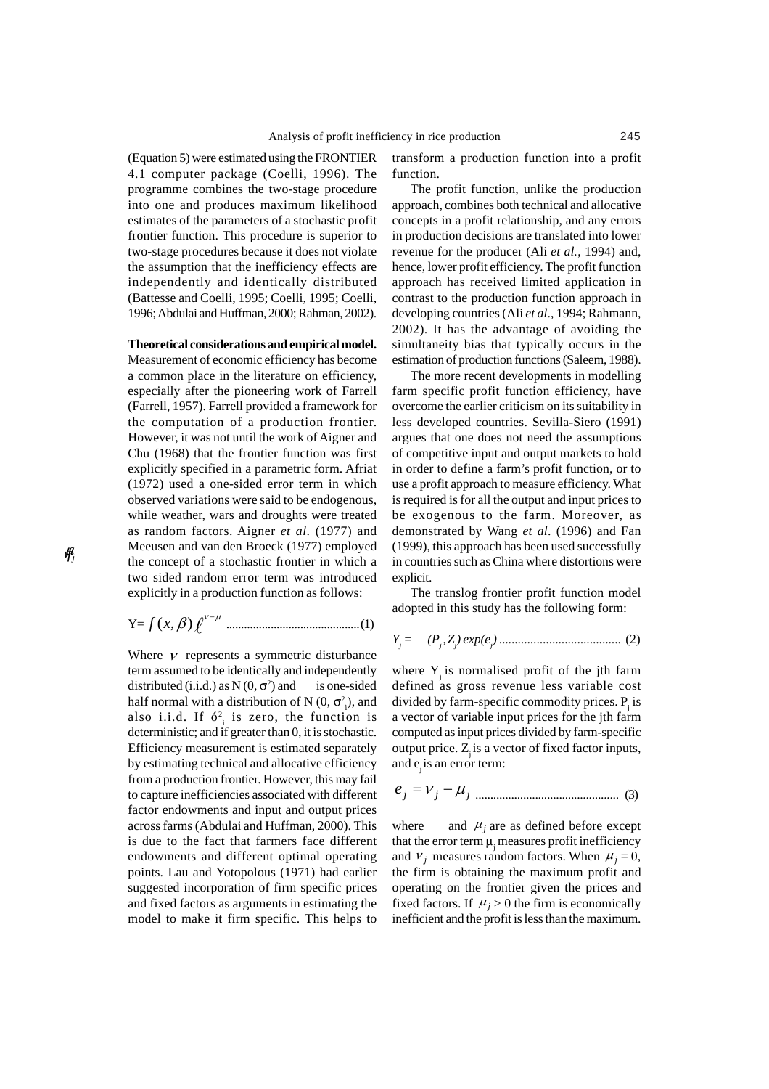(Equation 5) were estimated using the FRONTIER 4.1 computer package (Coelli, 1996). The programme combines the two-stage procedure into one and produces maximum likelihood estimates of the parameters of a stochastic profit frontier function. This procedure is superior to two-stage procedures because it does not violate the assumption that the inefficiency effects are independently and identically distributed (Battesse and Coelli, 1995; Coelli, 1995; Coelli, 1996; Abdulai and Huffman, 2000; Rahman, 2002).

#### **Theoretical considerations and empirical model.**

Measurement of economic efficiency has become a common place in the literature on efficiency, especially after the pioneering work of Farrell (Farrell, 1957). Farrell provided a framework for the computation of a production frontier. However, it was not until the work of Aigner and Chu (1968) that the frontier function was first explicitly specified in a parametric form. Afriat (1972) used a one-sided error term in which observed variations were said to be endogenous, while weather, wars and droughts were treated as random factors. Aigner *et al*. (1977) and Meeusen and van den Broeck (1977) employed the concept of a stochastic frontier in which a two sided random error term was introduced explicitly in a production function as follows:

Y=f(x, 
$$
\beta
$$
)  $\ell^{\nu-\mu}$  ................. (1)

Where  $\nu$  represents a symmetric disturbance term assumed to be identically and independently distributed (i.i.d.) as  $N(0, \sigma^2)$  and is one-sided half normal with a distribution of N  $(0, \sigma^2)$ , and also i.i.d. If  $6^2$  is zero, the function is deterministic; and if greater than 0, it is stochastic. Efficiency measurement is estimated separately by estimating technical and allocative efficiency from a production frontier. However, this may fail to capture inefficiencies associated with different factor endowments and input and output prices across farms (Abdulai and Huffman, 2000). This is due to the fact that farmers face different endowments and different optimal operating points. Lau and Yotopolous (1971) had earlier suggested incorporation of firm specific prices and fixed factors as arguments in estimating the model to make it firm specific. This helps to

transform a production function into a profit function.

The profit function, unlike the production approach, combines both technical and allocative concepts in a profit relationship, and any errors in production decisions are translated into lower revenue for the producer (Ali *et al.*, 1994) and, hence, lower profit efficiency. The profit function approach has received limited application in contrast to the production function approach in developing countries (Ali *et al*., 1994; Rahmann, 2002). It has the advantage of avoiding the simultaneity bias that typically occurs in the estimation of production functions (Saleem, 1988).

The more recent developments in modelling farm specific profit function efficiency, have overcome the earlier criticism on its suitability in less developed countries. Sevilla-Siero (1991) argues that one does not need the assumptions of competitive input and output markets to hold in order to define a farm's profit function, or to use a profit approach to measure efficiency. What is required is for all the output and input prices to be exogenous to the farm. Moreover, as demonstrated by Wang *et al*. (1996) and Fan (1999), this approach has been used successfully in countries such as China where distortions were explicit.

The translog frontier profit function model adopted in this study has the following form:

*Yj = (Pj ,Zj ) exp(ej )* ....................................... (2)

where  $Y_i$  is normalised profit of the jth farm defined as gross revenue less variable cost divided by farm-specific commodity prices.  $P_i$  is a vector of variable input prices for the jth farm computed as input prices divided by farm-specific output price.  $Z$  is a vector of fixed factor inputs, and e is an error term:

$$
e_j = V_j - \mu_j
$$
 3.3.20

where and  $\mu_i$  are as defined before except that the error term  $\mu$ <sub>i</sub> measures profit inefficiency and  $V_i$  measures random factors. When  $\mu_i = 0$ , the firm is obtaining the maximum profit and operating on the frontier given the prices and fixed factors. If  $\mu_i > 0$  the firm is economically inefficient and the profit is less than the maximum.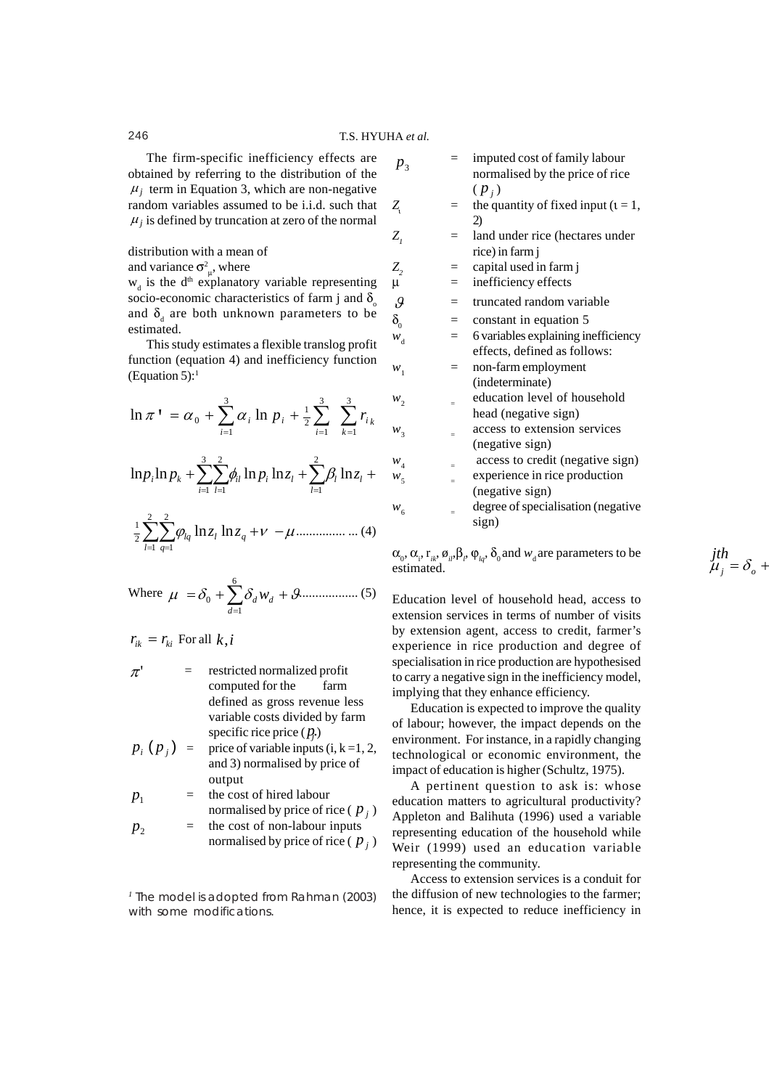# 246 T.S. HYUHA *et al.*

The firm-specific inefficiency effects are obtained by referring to the distribution of the  $\mu_i$  term in Equation 3, which are non-negative random variables assumed to be i.i.d. such that  $\mu_i$  is defined by truncation at zero of the normal

### distribution with a mean of

and variance  $\sigma_{\mu}^2$ , where

 $w_d$  is the d<sup>th</sup> explanatory variable representing socio-economic characteristics of farm j and  $\delta$ and  $\delta_{d}$  are both unknown parameters to be estimated.

This study estimates a flexible translog profit function (equation 4) and inefficiency function (Equation 5): $1$ 

$$
\ln \pi^{\mathsf{T}} = \alpha_0 + \sum_{i=1}^{3} \alpha_i \ln p_i + \frac{1}{2} \sum_{i=1}^{3} \sum_{k=1}^{3} r_{ik}
$$

$$
\ln p_i \ln p_k + \sum_{i=1}^3 \sum_{l=1}^2 \phi_{il} \ln p_i \ln z_l + \sum_{l=1}^2 \beta_l \ln z_l +
$$

$$
\frac{1}{2} \sum_{l=1}^{2} \sum_{q=1}^{2} \varphi_{lq} \ln z_l \ln z_q + \nu - \mu \dots \dots \dots \dots \dots (4)
$$

Where 
$$
\mu = \delta_0 + \sum_{d=1}^{6} \delta_d w_d + \mathcal{G} \dots
$$
 (5)

 $r_{ik} = r_{ki}$  For all  $k, i$ 

- $\pi'$  = restricted normalized profit computed for the farm defined as gross revenue less variable costs divided by farm specific rice price  $(p_i)$
- $p_i(p_i)$  = price of variable inputs (i, k =1, 2, and 3) normalised by price of output

$$
p_1 = \text{the cost of hired labour} \nnormalised by price of rice ( $p_j$ )
$$

$$
p_2 = \text{the cost of non-labour inputs} \quad \text{normalised by price of rice } (p_j)
$$

*<sup>1</sup> The model is adopted from Rahman (2003) with some modifications.*

- $p_3$  = imputed cost of family labour normalised by the price of rice  $(p_i)$
- *Z* = the quantity of fixed input  $(t = 1,$ 2)
- *Z<sub>1</sub>* = land under rice (hectares under rice) in farm j
- $Z_2$  = capital used in farm j
- $\mu$  = inefficiency effects
- $\mathcal{G}$  = truncated random variable
- $\delta_0$  = constant in equation 5
- $w_d$  = 6 variables explaining inefficiency effects, defined as follows:
- $w_1$  = non-farm employment (indeterminate)
- $w_2$  = education level of household head (negative sign)
- $w_3$  = access to extension services (negative sign)
- $w_4$   $\qquad$  access to credit (negative sign)
- $w_5$  = experience in rice production (negative sign)
- $w_6$  = degree of specialisation (negative sign)

*jth*

 $\mu_j = \delta_o +$ 

 $\alpha_{0}$ ,  $\alpha_{i}$ ,  $r_{ik}$ ,  $\phi_{il}$ ,  $\beta_{\rho}$ ,  $\phi_{lq}$ ,  $\delta_{0}$  and  $w_{d}$  are parameters to be estimated.

Education level of household head, access to extension services in terms of number of visits by extension agent, access to credit, farmer's experience in rice production and degree of specialisation in rice production are hypothesised to carry a negative sign in the inefficiency model, implying that they enhance efficiency.

Education is expected to improve the quality of labour; however, the impact depends on the environment. For instance, in a rapidly changing technological or economic environment, the impact of education is higher (Schultz, 1975).

A pertinent question to ask is: whose education matters to agricultural productivity? Appleton and Balihuta (1996) used a variable representing education of the household while Weir (1999) used an education variable representing the community.

Access to extension services is a conduit for the diffusion of new technologies to the farmer; hence, it is expected to reduce inefficiency in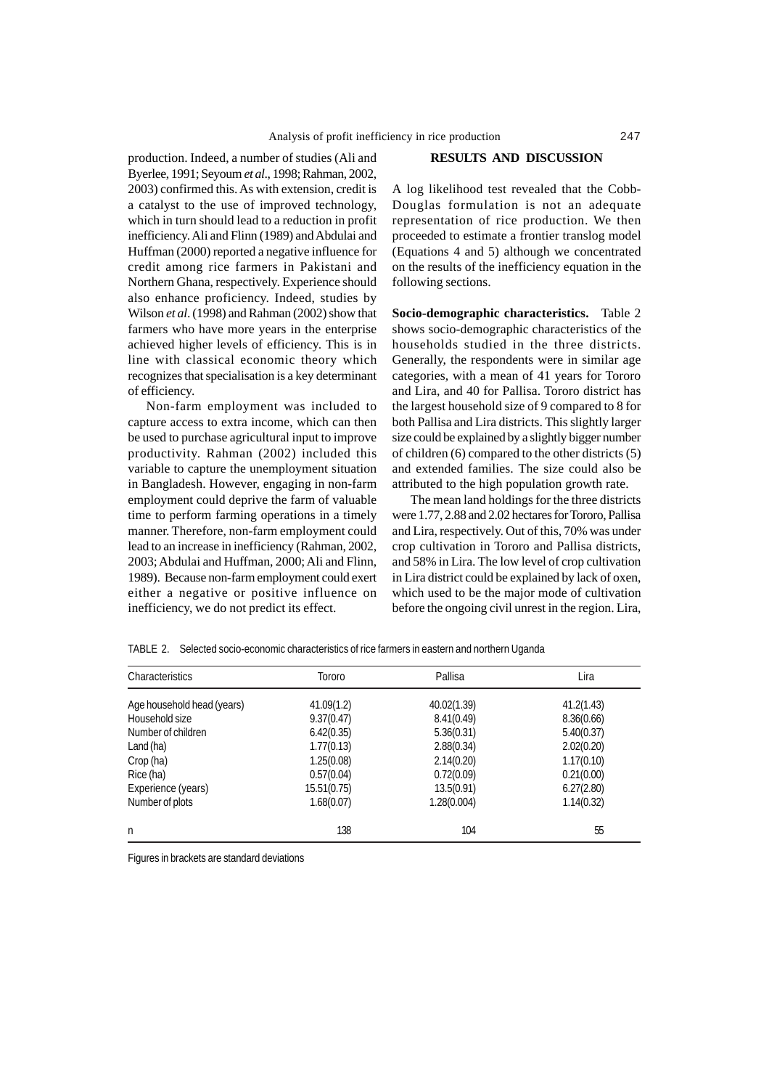production. Indeed, a number of studies (Ali and Byerlee, 1991; Seyoum *et al*., 1998; Rahman, 2002, 2003) confirmed this. As with extension, credit is a catalyst to the use of improved technology, which in turn should lead to a reduction in profit inefficiency. Ali and Flinn (1989) and Abdulai and Huffman (2000) reported a negative influence for credit among rice farmers in Pakistani and Northern Ghana, respectively. Experience should also enhance proficiency. Indeed, studies by Wilson *et al*. (1998) and Rahman (2002) show that farmers who have more years in the enterprise achieved higher levels of efficiency. This is in line with classical economic theory which recognizes that specialisation is a key determinant of efficiency.

Non-farm employment was included to capture access to extra income, which can then be used to purchase agricultural input to improve productivity. Rahman (2002) included this variable to capture the unemployment situation in Bangladesh. However, engaging in non-farm employment could deprive the farm of valuable time to perform farming operations in a timely manner. Therefore, non-farm employment could lead to an increase in inefficiency (Rahman, 2002, 2003; Abdulai and Huffman, 2000; Ali and Flinn, 1989). Because non-farm employment could exert either a negative or positive influence on inefficiency, we do not predict its effect.

## **RESULTS AND DISCUSSION**

A log likelihood test revealed that the Cobb-Douglas formulation is not an adequate representation of rice production. We then proceeded to estimate a frontier translog model (Equations 4 and 5) although we concentrated on the results of the inefficiency equation in the following sections.

**Socio-demographic characteristics.** Table 2 shows socio-demographic characteristics of the households studied in the three districts. Generally, the respondents were in similar age categories, with a mean of 41 years for Tororo and Lira, and 40 for Pallisa. Tororo district has the largest household size of 9 compared to 8 for both Pallisa and Lira districts. This slightly larger size could be explained by a slightly bigger number of children (6) compared to the other districts (5) and extended families. The size could also be attributed to the high population growth rate.

The mean land holdings for the three districts were 1.77, 2.88 and 2.02 hectares for Tororo, Pallisa and Lira, respectively. Out of this, 70% was under crop cultivation in Tororo and Pallisa districts, and 58% in Lira. The low level of crop cultivation in Lira district could be explained by lack of oxen, which used to be the major mode of cultivation before the ongoing civil unrest in the region. Lira,

|                       |                |          | ີ |  |
|-----------------------|----------------|----------|---|--|
| Charao<br>istics<br>. | $  -$<br>າເດເເ | $\cdots$ |   |  |

TABLE 2. Selected socio-economic characteristics of rice farmers in eastern and northern Uganda

| Characteristics            | Tororo      | Pallisa     | Lira       |
|----------------------------|-------------|-------------|------------|
| Age household head (years) | 41.09(1.2)  | 40.02(1.39) | 41.2(1.43) |
| Household size             | 9.37(0.47)  | 8.41(0.49)  | 8.36(0.66) |
| Number of children         | 6.42(0.35)  | 5.36(0.31)  | 5.40(0.37) |
| Land (ha)                  | 1.77(0.13)  | 2.88(0.34)  | 2.02(0.20) |
| Crop (ha)                  | 1.25(0.08)  | 2.14(0.20)  | 1.17(0.10) |
| Rice (ha)                  | 0.57(0.04)  | 0.72(0.09)  | 0.21(0.00) |
| Experience (years)         | 15.51(0.75) | 13.5(0.91)  | 6.27(2.80) |
| Number of plots            | 1.68(0.07)  | 1.28(0.004) | 1.14(0.32) |
| n                          | 138         | 104         | 55         |

Figures in brackets are standard deviations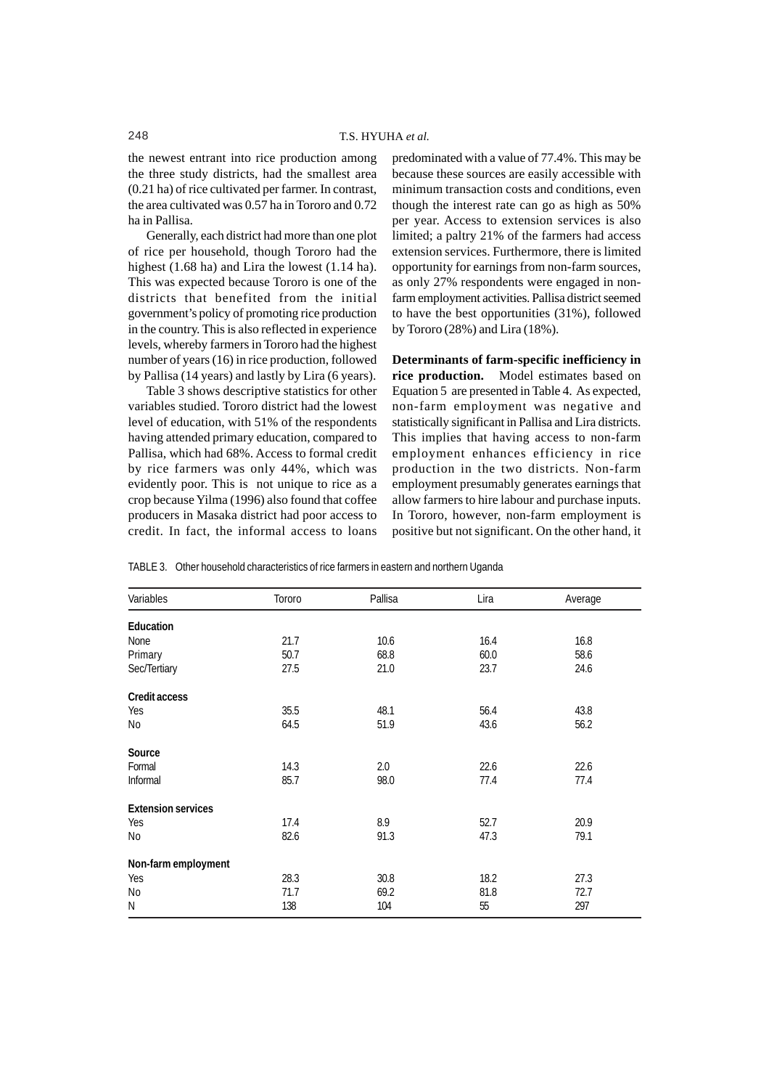the newest entrant into rice production among the three study districts, had the smallest area (0.21 ha) of rice cultivated per farmer. In contrast, the area cultivated was 0.57 ha in Tororo and 0.72 ha in Pallisa.

Generally, each district had more than one plot of rice per household, though Tororo had the highest (1.68 ha) and Lira the lowest (1.14 ha). This was expected because Tororo is one of the districts that benefited from the initial government's policy of promoting rice production in the country. This is also reflected in experience levels, whereby farmers in Tororo had the highest number of years (16) in rice production, followed by Pallisa (14 years) and lastly by Lira (6 years).

Table 3 shows descriptive statistics for other variables studied. Tororo district had the lowest level of education, with 51% of the respondents having attended primary education, compared to Pallisa, which had 68%. Access to formal credit by rice farmers was only 44%, which was evidently poor. This is not unique to rice as a crop because Yilma (1996) also found that coffee producers in Masaka district had poor access to credit. In fact, the informal access to loans

predominated with a value of 77.4%. This may be because these sources are easily accessible with minimum transaction costs and conditions, even though the interest rate can go as high as 50% per year. Access to extension services is also limited; a paltry 21% of the farmers had access extension services. Furthermore, there is limited opportunity for earnings from non-farm sources, as only 27% respondents were engaged in nonfarm employment activities. Pallisa district seemed to have the best opportunities (31%), followed by Tororo (28%) and Lira (18%).

**Determinants of farm-specific inefficiency in rice production.** Model estimates based on Equation 5 are presented in Table 4. As expected, non-farm employment was negative and statistically significant in Pallisa and Lira districts. This implies that having access to non-farm employment enhances efficiency in rice production in the two districts. Non-farm employment presumably generates earnings that allow farmers to hire labour and purchase inputs. In Tororo, however, non-farm employment is positive but not significant. On the other hand, it

TABLE 3. Other household characteristics of rice farmers in eastern and northern Uganda

| Variables                 | Tororo | Pallisa | Lira | Average |
|---------------------------|--------|---------|------|---------|
| Education                 |        |         |      |         |
| None                      | 21.7   | 10.6    | 16.4 | 16.8    |
| Primary                   | 50.7   | 68.8    | 60.0 | 58.6    |
| Sec/Tertiary              | 27.5   | 21.0    | 23.7 | 24.6    |
| Credit access             |        |         |      |         |
| Yes                       | 35.5   | 48.1    | 56.4 | 43.8    |
| No                        | 64.5   | 51.9    | 43.6 | 56.2    |
| Source                    |        |         |      |         |
| Formal                    | 14.3   | 2.0     | 22.6 | 22.6    |
| Informal                  | 85.7   | 98.0    | 77.4 | 77.4    |
| <b>Extension services</b> |        |         |      |         |
| Yes                       | 17.4   | 8.9     | 52.7 | 20.9    |
| No                        | 82.6   | 91.3    | 47.3 | 79.1    |
| Non-farm employment       |        |         |      |         |
| Yes                       | 28.3   | 30.8    | 18.2 | 27.3    |
| No                        | 71.7   | 69.2    | 81.8 | 72.7    |
| N                         | 138    | 104     | 55   | 297     |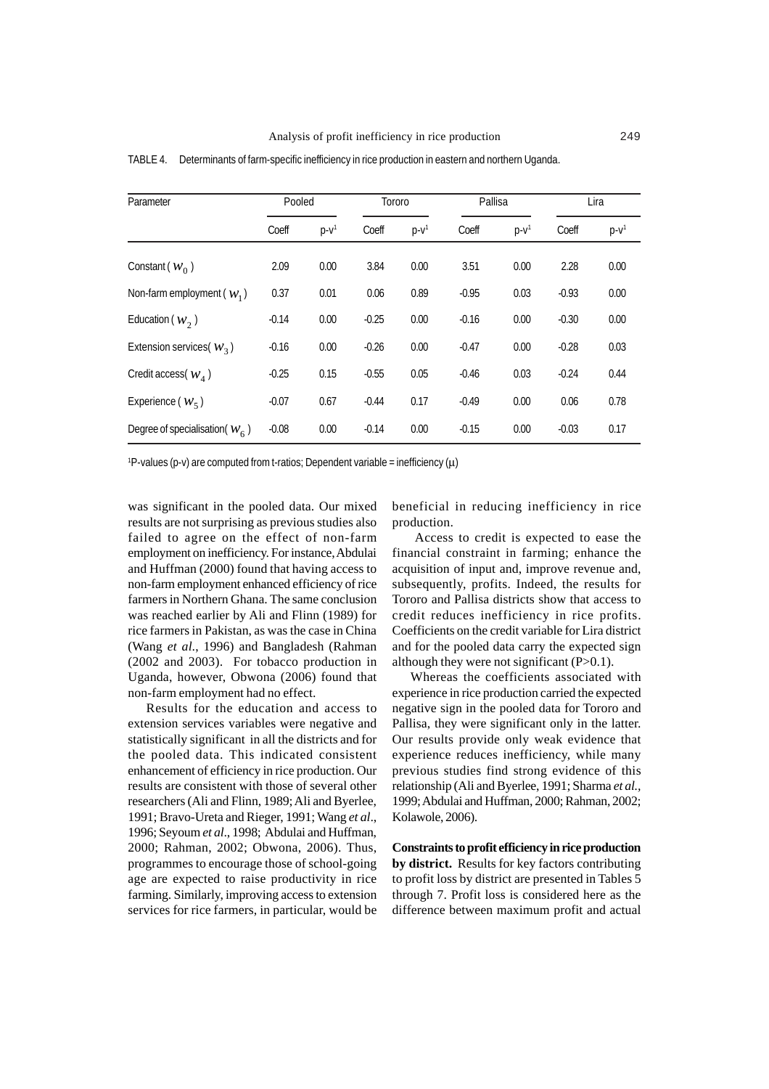| Parameter                         | Pooled  |        | Tororo  |        | Pallisa |           | Lira    |        |
|-----------------------------------|---------|--------|---------|--------|---------|-----------|---------|--------|
|                                   | Coeff   | $p-v1$ | Coeff   | $p-v1$ | Coeff   | $D - V^1$ | Coeff   | $p-v1$ |
| Constant $(w_0)$                  | 2.09    | 0.00   | 3.84    | 0.00   | 3.51    | 0.00      | 2.28    | 0.00   |
| Non-farm employment ( $w_1$ )     | 0.37    | 0.01   | 0.06    | 0.89   | $-0.95$ | 0.03      | $-0.93$ | 0.00   |
| Education ( $w_2$ )               | $-0.14$ | 0.00   | $-0.25$ | 0.00   | $-0.16$ | 0.00      | $-0.30$ | 0.00   |
| Extension services $(w_3)$        | $-0.16$ | 0.00   | $-0.26$ | 0.00   | $-0.47$ | 0.00      | $-0.28$ | 0.03   |
| Credit access $(w_1)$             | $-0.25$ | 0.15   | $-0.55$ | 0.05   | $-0.46$ | 0.03      | $-0.24$ | 0.44   |
| Experience $(w_5)$                | $-0.07$ | 0.67   | $-0.44$ | 0.17   | $-0.49$ | 0.00      | 0.06    | 0.78   |
| Degree of specialisation( $W_6$ ) | $-0.08$ | 0.00   | $-0.14$ | 0.00   | $-0.15$ | 0.00      | $-0.03$ | 0.17   |

TABLE 4. Determinants of farm-specific inefficiency in rice production in eastern and northern Uganda.

 $P$ -values (p-v) are computed from t-ratios; Dependent variable = inefficiency ( $\mu$ )

was significant in the pooled data. Our mixed results are not surprising as previous studies also failed to agree on the effect of non-farm employment on inefficiency. For instance, Abdulai and Huffman (2000) found that having access to non-farm employment enhanced efficiency of rice farmers in Northern Ghana. The same conclusion was reached earlier by Ali and Flinn (1989) for rice farmers in Pakistan, as was the case in China (Wang *et al*., 1996) and Bangladesh (Rahman (2002 and 2003). For tobacco production in Uganda, however, Obwona (2006) found that non-farm employment had no effect.

Results for the education and access to extension services variables were negative and statistically significant in all the districts and for the pooled data. This indicated consistent enhancement of efficiency in rice production. Our results are consistent with those of several other researchers (Ali and Flinn, 1989; Ali and Byerlee, 1991; Bravo-Ureta and Rieger, 1991; Wang *et al*., 1996; Seyoum *et al*., 1998; Abdulai and Huffman, 2000; Rahman, 2002; Obwona, 2006). Thus, programmes to encourage those of school-going age are expected to raise productivity in rice farming. Similarly, improving access to extension services for rice farmers, in particular, would be

beneficial in reducing inefficiency in rice production.

 Access to credit is expected to ease the financial constraint in farming; enhance the acquisition of input and, improve revenue and, subsequently, profits. Indeed, the results for Tororo and Pallisa districts show that access to credit reduces inefficiency in rice profits. Coefficients on the credit variable for Lira district and for the pooled data carry the expected sign although they were not significant  $(P>0.1)$ .

Whereas the coefficients associated with experience in rice production carried the expected negative sign in the pooled data for Tororo and Pallisa, they were significant only in the latter. Our results provide only weak evidence that experience reduces inefficiency, while many previous studies find strong evidence of this relationship (Ali and Byerlee, 1991; Sharma *et al.,* 1999; Abdulai and Huffman, 2000; Rahman, 2002; Kolawole, 2006).

**Constraints to profit efficiency in rice production by district.** Results for key factors contributing to profit loss by district are presented in Tables 5 through 7. Profit loss is considered here as the difference between maximum profit and actual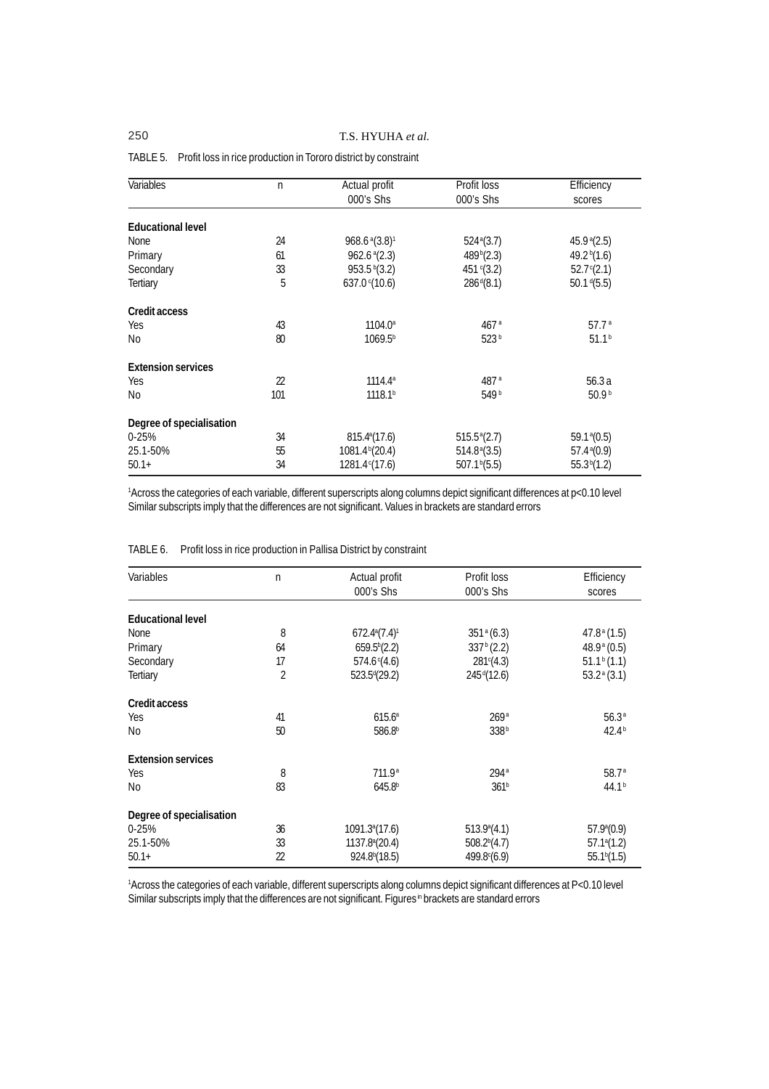| Variables                 | n              | Actual profit                             | Profit loss              | Efficiency              |
|---------------------------|----------------|-------------------------------------------|--------------------------|-------------------------|
|                           |                | 000's Shs                                 | 000's Shs                | scores                  |
|                           |                |                                           |                          |                         |
| <b>Educational level</b>  |                |                                           |                          |                         |
| <b>None</b>               | 24             | $968.6$ <sup>a</sup> $(3.8)$ <sup>1</sup> | $524^{\circ}(3.7)$       | 45.9 <sup>a</sup> (2.5) |
| Primary                   | 61             | $962.6$ <sup>a</sup> $(2.3)$              | 489 <sup>b</sup> (2.3)   | 49.2 $b(1.6)$           |
| Secondary                 | 33             | 953.5 <sup>b</sup> (3.2)                  | 451 $C(3.2)$             | $52.7^{\circ}(2.1)$     |
| <b>Tertiary</b>           | 5              | 637.0 $C(10.6)$                           | $286^{d}(8.1)$           | $50.1 \frac{d}{5.5}$    |
| Credit access             |                |                                           |                          |                         |
| Yes                       | 43             | $1104.0^{\circ}$                          | 467 <sup>a</sup>         | 57.7 <sup>a</sup>       |
| N <sub>0</sub>            | 80             | 1069.5 <sup>b</sup>                       | 523 <sup>b</sup>         | 51.1 <sup>b</sup>       |
| <b>Extension services</b> |                |                                           |                          |                         |
| Yes                       | $\mathfrak{D}$ | $1114.4^a$                                | 487 <sup>a</sup>         | 56.3a                   |
| No                        | 101            | 1118.1 <sup>b</sup>                       | 549b                     | 50.9 <sup>b</sup>       |
| Degree of specialisation  |                |                                           |                          |                         |
| $0 - 25%$                 | 34             | 815.4 <sup>a</sup> (17.6)                 | 515.5 <sup>a</sup> (2.7) | 59.1 <sup>a</sup> (0.5) |
| 25.1-50%                  | 55             | 1081.4 <sup>b</sup> (20.4)                | $514.8^{\circ}(3.5)$     | 57.4 <sup>a</sup> (0.9) |
| $50.1+$                   | 34             | 1281.4 <sup>c</sup> (17.6)                | 507.1 <sup>b</sup> (5.5) | 55.3 <sup>b</sup> (1.2) |
|                           |                |                                           |                          |                         |

## TABLE 5. Profit loss in rice production in Tororo district by constraint

1 Across the categories of each variable, different superscripts along columns depict significant differences at p<0.10 level Similar subscripts imply that the differences are not significant. Values in brackets are standard errors

| Variables                 | n              | Actual profit                | Profit loss              | Efficiency              |
|---------------------------|----------------|------------------------------|--------------------------|-------------------------|
|                           |                | 000's Shs                    | 000's Shs                | scores                  |
| <b>Educational level</b>  |                |                              |                          |                         |
| <b>None</b>               | 8              | $672.4^{\circ}(7.4)^{\circ}$ | $351^{\circ} (6.3)$      | $47.8a$ (1.5)           |
| Primary                   | 64             | 659.5 <sup>b</sup> (2.2)     | 337 <sup>b</sup> (2.2)   | $48.9^{\circ}$ (0.5)    |
| Secondary                 | 17             | $574.6^{\circ}(4.6)$         | 281 (4.3)                | $51.1b$ (1.1)           |
| <b>Tertiary</b>           | $\overline{2}$ | $523.5^{d}(29.2)$            | 245 <sup>d</sup> (12.6)  | $53.2^{\circ}$ (3.1)    |
| Credit access             |                |                              |                          |                         |
| Yes                       | 41             | 615.6 <sup>a</sup>           | 269a                     | 56.3a                   |
| N <sub>0</sub>            | 50             | 586.8 <sup>b</sup>           | 338 <sup>b</sup>         | 42.4 <sup>b</sup>       |
| <b>Extension services</b> |                |                              |                          |                         |
| Yes                       | 8              | 711.9 <sup>a</sup>           | 294a                     | 58.7 <sup>a</sup>       |
| No                        | 83             | 645.8 <sup>b</sup>           | 361 <sup>b</sup>         | 44.1 <sup>b</sup>       |
| Degree of specialisation  |                |                              |                          |                         |
| $0 - 25%$                 | 36             | 1091.3 <sup>a</sup> (17.6)   | $513.9^{\circ}(4.1)$     | $57.9^{\circ}(0.9)$     |
| 25.1-50%                  | 33             | 1137.8 <sup>a</sup> (20.4)   | 508.2 <sup>b</sup> (4.7) | $57.1^{\circ}(1.2)$     |
| $50.1+$                   | 22             | 924.8 <sup>b</sup> (18.5)    | $499.8^{\circ}(6.9)$     | 55.1 <sup>b</sup> (1.5) |

TABLE 6. Profit loss in rice production in Pallisa District by constraint

1 Across the categories of each variable, different superscripts along columns depict significant differences at P<0.10 level Similar subscripts imply that the differences are not significant. Figures<sup>in</sup> brackets are standard errors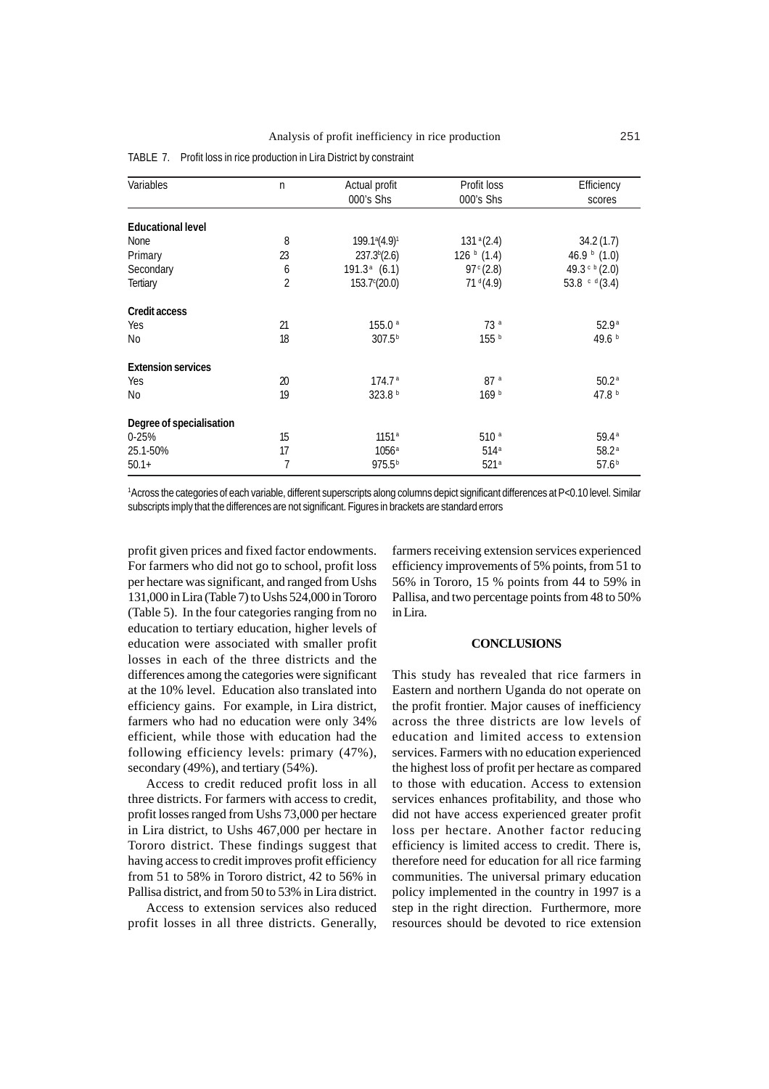| Variables                 | n  | Actual profit                         | Profit loss            | Efficiency               |
|---------------------------|----|---------------------------------------|------------------------|--------------------------|
|                           |    | 000's Shs                             | 000's Shs              | scores                   |
|                           |    |                                       |                        |                          |
| <b>Educational level</b>  |    |                                       |                        |                          |
| None                      | 8  | 199.1 <sup>a</sup> (4.9) <sup>1</sup> | 131 <sup>a</sup> (2.4) | 34.2(1.7)                |
| Primary                   | 23 | 237.3 <sup>b</sup> (2.6)              | 126 $b(1.4)$           | 46.9 $\frac{1}{2}$ (1.0) |
| Secondary                 | 6  | $191.3a$ (6.1)                        | 97 $C(2.8)$            | 49.3 $c b (2.0)$         |
| Tertiary                  | 2  | $153.7^{\circ}(20.0)$                 | 71 <sup>d</sup> (4.9)  | 53.8 $c d(3.4)$          |
| Credit access             |    |                                       |                        |                          |
| Yes                       | 21 | 155.0a                                | 73a                    | 52.9 <sup>a</sup>        |
| No                        | 18 | 307.5 <sup>b</sup>                    | 155 <sup>b</sup>       | 49.6 b                   |
| <b>Extension services</b> |    |                                       |                        |                          |
| Yes                       | 20 | 174.7 <sup>a</sup>                    | 87a                    | 50.2 <sup>a</sup>        |
| No.                       | 19 | 323.8 <sup>b</sup>                    | 169 <sup>b</sup>       | 47.8 $b$                 |
| Degree of specialisation  |    |                                       |                        |                          |
| $0 - 25%$                 | 15 | 1151 <sup>a</sup>                     | 510 <sup>a</sup>       | 59.4a                    |
| 25.1-50%                  | 17 | $1056^{\circ}$                        | 514 <sup>a</sup>       | 58.2a                    |
| $50.1+$                   | 7  | 975.5 <sup>b</sup>                    | 521 <sup>a</sup>       | 57.6 <sup>b</sup>        |
|                           |    |                                       |                        |                          |

TABLE 7. Profit loss in rice production in Lira District by constraint

<sup>1</sup>Across the categories of each variable, different superscripts along columns depict significant differences at P<0.10 level. Similar subscripts imply that the differences are not significant. Figures in brackets are standard errors

profit given prices and fixed factor endowments. For farmers who did not go to school, profit loss per hectare was significant, and ranged from Ushs 131,000 in Lira (Table 7) to Ushs 524,000 in Tororo (Table 5). In the four categories ranging from no education to tertiary education, higher levels of education were associated with smaller profit losses in each of the three districts and the differences among the categories were significant at the 10% level. Education also translated into efficiency gains. For example, in Lira district, farmers who had no education were only 34% efficient, while those with education had the following efficiency levels: primary (47%), secondary (49%), and tertiary (54%).

Access to credit reduced profit loss in all three districts. For farmers with access to credit, profit losses ranged from Ushs 73,000 per hectare in Lira district, to Ushs 467,000 per hectare in Tororo district. These findings suggest that having access to credit improves profit efficiency from 51 to 58% in Tororo district, 42 to 56% in Pallisa district, and from 50 to 53% in Lira district.

Access to extension services also reduced profit losses in all three districts. Generally,

farmers receiving extension services experienced efficiency improvements of 5% points, from 51 to 56% in Tororo, 15 % points from 44 to 59% in Pallisa, and two percentage points from 48 to 50% in Lira.

### **CONCLUSIONS**

This study has revealed that rice farmers in Eastern and northern Uganda do not operate on the profit frontier. Major causes of inefficiency across the three districts are low levels of education and limited access to extension services. Farmers with no education experienced the highest loss of profit per hectare as compared to those with education. Access to extension services enhances profitability, and those who did not have access experienced greater profit loss per hectare. Another factor reducing efficiency is limited access to credit. There is, therefore need for education for all rice farming communities. The universal primary education policy implemented in the country in 1997 is a step in the right direction. Furthermore, more resources should be devoted to rice extension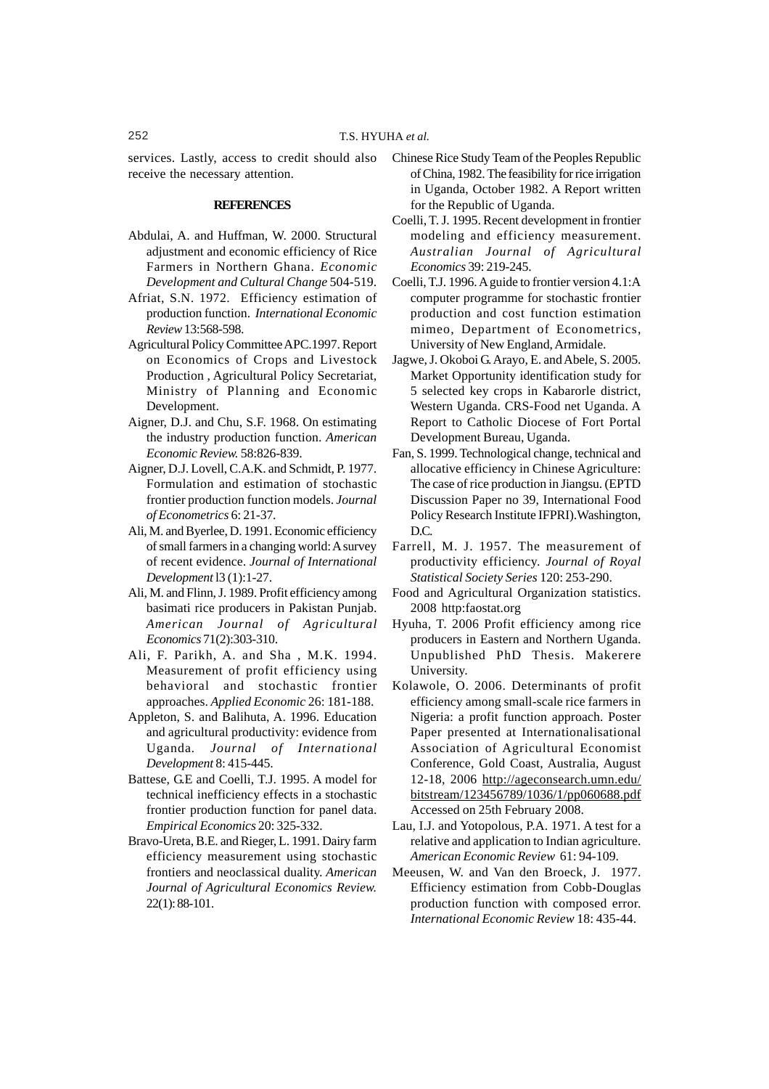services. Lastly, access to credit should also receive the necessary attention.

## **REFERENCES**

- Abdulai, A. and Huffman, W. 2000. Structural adjustment and economic efficiency of Rice Farmers in Northern Ghana. *Economic Development and Cultural Change* 504-519.
- Afriat, S.N. 1972. Efficiency estimation of production function. *International Economic Review* 13:568-598.
- Agricultural Policy Committee APC.1997. Report on Economics of Crops and Livestock Production , Agricultural Policy Secretariat, Ministry of Planning and Economic Development.
- Aigner, D.J. and Chu, S.F. 1968. On estimating the industry production function. *American Economic Review.* 58:826-839.
- Aigner, D.J. Lovell, C.A.K. and Schmidt, P. 1977. Formulation and estimation of stochastic frontier production function models. *Journal of Econometrics* 6: 21-37.
- Ali, M. and Byerlee, D. 1991. Economic efficiency of small farmers in a changing world: A survey of recent evidence. *Journal of International Development* l3 (1):1-27.
- Ali, M. and Flinn, J. 1989. Profit efficiency among basimati rice producers in Pakistan Punjab. *American Journal of Agricultural Economics* 71(2):303-310.
- Ali, F. Parikh, A. and Sha , M.K. 1994. Measurement of profit efficiency using behavioral and stochastic frontier approaches. *Applied Economic* 26: 181-188.
- Appleton, S. and Balihuta, A. 1996. Education and agricultural productivity: evidence from Uganda*. Journal of International Development* 8: 415-445.
- Battese, G.E and Coelli, T.J. 1995. A model for technical inefficiency effects in a stochastic frontier production function for panel data. *Empirical Economics* 20: 325-332.
- Bravo-Ureta, B.E. and Rieger, L. 1991. Dairy farm efficiency measurement using stochastic frontiers and neoclassical duality. *American Journal of Agricultural Economics Review.* 22(1): 88-101.
- Chinese Rice Study Team of the Peoples Republic of China, 1982. The feasibility for rice irrigation in Uganda, October 1982. A Report written for the Republic of Uganda.
- Coelli, T. J. 1995. Recent development in frontier modeling and efficiency measurement. *Australian Journal of Agricultural Economics* 39: 219-245.
- Coelli, T.J. 1996. A guide to frontier version 4.1:A computer programme for stochastic frontier production and cost function estimation mimeo, Department of Econometrics, University of New England, Armidale.
- Jagwe, J. Okoboi G. Arayo, E. and Abele, S. 2005. Market Opportunity identification study for 5 selected key crops in Kabarorle district, Western Uganda. CRS-Food net Uganda. A Report to Catholic Diocese of Fort Portal Development Bureau, Uganda.
- Fan, S. 1999. Technological change, technical and allocative efficiency in Chinese Agriculture: The case of rice production in Jiangsu. (EPTD Discussion Paper no 39, International Food Policy Research Institute IFPRI).Washington, D.C.
- Farrell, M. J. 1957. The measurement of productivity efficiency. *Journal of Royal Statistical Society Series* 120: 253-290.
- Food and Agricultural Organization statistics. 2008 http:faostat.org
- Hyuha, T. 2006 Profit efficiency among rice producers in Eastern and Northern Uganda. Unpublished PhD Thesis. Makerere University.
- Kolawole, O. 2006. Determinants of profit efficiency among small-scale rice farmers in Nigeria: a profit function approach. Poster Paper presented at Internationalisational Association of Agricultural Economist Conference, Gold Coast, Australia, August 12-18, 2006 http://ageconsearch.umn.edu/ bitstream/123456789/1036/1/pp060688.pdf Accessed on 25th February 2008.
- Lau, I.J. and Yotopolous, P.A. 1971. A test for a relative and application to Indian agriculture. *American Economic Review* 61: 94-109.
- Meeusen, W. and Van den Broeck, J. 1977. Efficiency estimation from Cobb-Douglas production function with composed error. *International Economic Review* 18: 435-44.